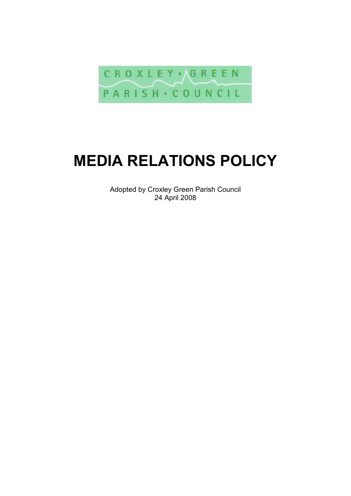

# **MEDIA RELATIONS POLICY**

Adopted by Croxley Green Parish Council 24 April 2008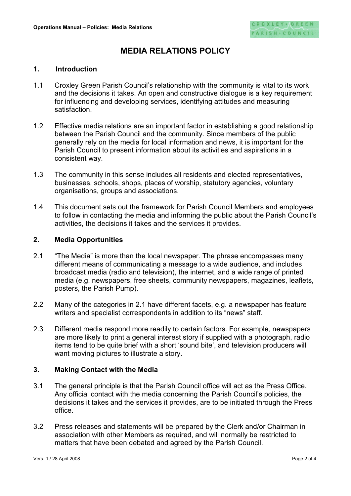# **MEDIA RELATIONS POLICY**

#### **1. Introduction**

- 1.1 Croxley Green Parish Council's relationship with the community is vital to its work and the decisions it takes. An open and constructive dialogue is a key requirement for influencing and developing services, identifying attitudes and measuring satisfaction.
- 1.2 Effective media relations are an important factor in establishing a good relationship between the Parish Council and the community. Since members of the public generally rely on the media for local information and news, it is important for the Parish Council to present information about its activities and aspirations in a consistent way.
- 1.3 The community in this sense includes all residents and elected representatives, businesses, schools, shops, places of worship, statutory agencies, voluntary organisations, groups and associations.
- 1.4 This document sets out the framework for Parish Council Members and employees to follow in contacting the media and informing the public about the Parish Council's activities, the decisions it takes and the services it provides.

#### **2. Media Opportunities**

- 2.1 "The Media" is more than the local newspaper. The phrase encompasses many different means of communicating a message to a wide audience, and includes broadcast media (radio and television), the internet, and a wide range of printed media (e.g. newspapers, free sheets, community newspapers, magazines, leaflets, posters, the Parish Pump).
- 2.2 Many of the categories in 2.1 have different facets, e.g. a newspaper has feature writers and specialist correspondents in addition to its "news" staff.
- 2.3 Different media respond more readily to certain factors. For example, newspapers are more likely to print a general interest story if supplied with a photograph, radio items tend to be quite brief with a short 'sound bite', and television producers will want moving pictures to illustrate a story.

#### **3. Making Contact with the Media**

- 3.1 The general principle is that the Parish Council office will act as the Press Office. Any official contact with the media concerning the Parish Council's policies, the decisions it takes and the services it provides, are to be initiated through the Press office.
- 3.2 Press releases and statements will be prepared by the Clerk and/or Chairman in association with other Members as required, and will normally be restricted to matters that have been debated and agreed by the Parish Council.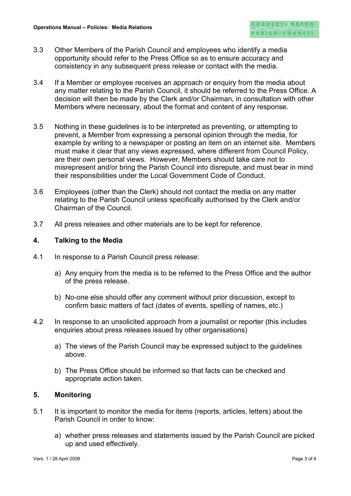- 3.3 Other Members of the Parish Council and employees who identify a media opportunity should refer to the Press Office so as to ensure accuracy and consistency in any subsequent press release or contact with the media.
- 3.4 If a Member or employee receives an approach or enquiry from the media about any matter relating to the Parish Council, it should be referred to the Press Office. A decision will then be made by the Clerk and/or Chairman, in consultation with other Members where necessary, about the format and content of any response.
- 3.5 Nothing in these guidelines is to be interpreted as preventing, or attempting to prevent, a Member from expressing a personal opinion through the media, for example by writing to a newspaper or posting an item on an internet site. Members must make it clear that any views expressed, where different from Council Policy, are their own personal views. However, Members should take care not to misrepresent and/or bring the Parish Council into disrepute, and must bear in mind their responsibilities under the Local Government Code of Conduct.
- 3.6 Employees (other than the Clerk) should not contact the media on any matter relating to the Parish Council unless specifically authorised by the Clerk and/or Chairman of the Council.
- 3.7 All press releases and other materials are to be kept for reference.

## **4. Talking to the Media**

- 4.1 In response to a Parish Council press release:
	- a) Any enquiry from the media is to be referred to the Press Office and the author of the press release.
	- b) No-one else should offer any comment without prior discussion, except to confirm basic matters of fact (dates of events, spelling of names, etc.)
- 4.2 In response to an unsolicited approach from a journalist or reporter (this includes enquiries about press releases issued by other organisations)
	- a) The views of the Parish Council may be expressed subject to the guidelines above.
	- b) The Press Office should be informed so that facts can be checked and appropriate action taken.

## **5. Monitoring**

- 5.1 It is important to monitor the media for items (reports, articles, letters) about the Parish Council in order to know:
	- a) whether press releases and statements issued by the Parish Council are picked up and used effectively.